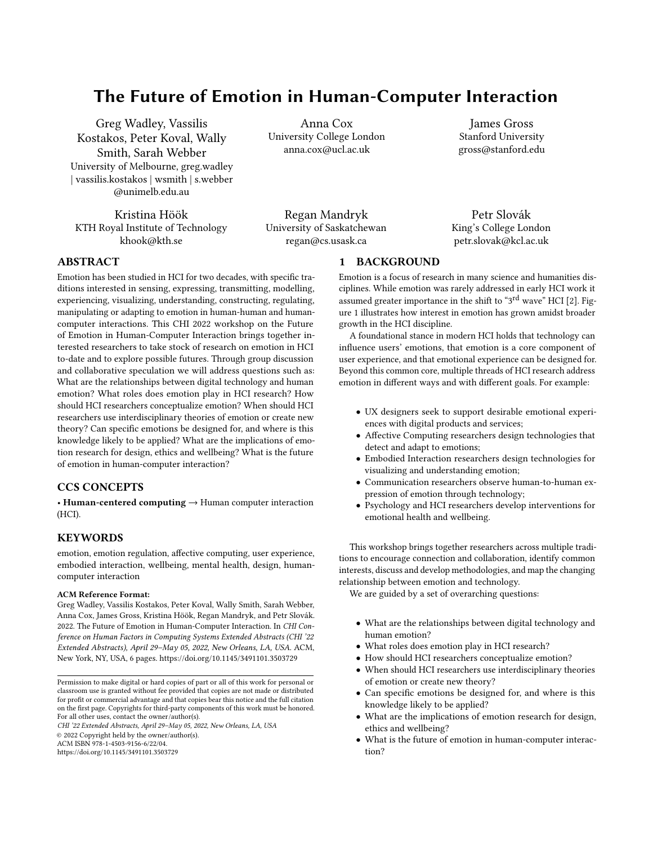# The Future of Emotion in Human-Computer Interaction

Greg Wadley, Vassilis Kostakos, Peter Koval, Wally Smith, Sarah Webber University of Melbourne, greg.wadley | vassilis.kostakos | wsmith | s.webber @unimelb.edu.au

Kristina Höök KTH Royal Institute of Technology [khook@kth.se](mailto:khook@kth.se)

Anna Cox University College London [anna.cox@ucl.ac.uk](mailto:anna.cox@ucl.ac.uk)

James Gross Stanford University [gross@stanford.edu](mailto:gross@stanford.edu)

Regan Mandryk University of Saskatchewan [regan@cs.usask.ca](mailto:regan@cs.usask.ca)

Petr Slovák King's College London [petr.slovak@kcl.ac.uk](mailto:petr.slovak@kcl.ac.uk)

## ABSTRACT

Emotion has been studied in HCI for two decades, with specifc traditions interested in sensing, expressing, transmitting, modelling, experiencing, visualizing, understanding, constructing, regulating, manipulating or adapting to emotion in human-human and humancomputer interactions. This CHI 2022 workshop on the Future of Emotion in Human-Computer Interaction brings together interested researchers to take stock of research on emotion in HCI to-date and to explore possible futures. Through group discussion and collaborative speculation we will address questions such as: What are the relationships between digital technology and human emotion? What roles does emotion play in HCI research? How should HCI researchers conceptualize emotion? When should HCI researchers use interdisciplinary theories of emotion or create new theory? Can specifc emotions be designed for, and where is this knowledge likely to be applied? What are the implications of emotion research for design, ethics and wellbeing? What is the future of emotion in human-computer interaction?

## CCS CONCEPTS

• Human-centered computing → Human computer interaction (HCI).

## **KEYWORDS**

emotion, emotion regulation, afective computing, user experience, embodied interaction, wellbeing, mental health, design, humancomputer interaction

#### ACM Reference Format:

Greg Wadley, Vassilis Kostakos, Peter Koval, Wally Smith, Sarah Webber, Anna Cox, James Gross, Kristina Höök, Regan Mandryk, and Petr Slovák. 2022. The Future of Emotion in Human-Computer Interaction. In CHI Conference on Human Factors in Computing Systems Extended Abstracts (CHI '22 Extended Abstracts), April 29–May 05, 2022, New Orleans, LA, USA. ACM, New York, NY, USA, [6](#page-5-0) pages. <https://doi.org/10.1145/3491101.3503729>

CHI '22 Extended Abstracts, April 29–May 05, 2022, New Orleans, LA, USA © 2022 Copyright held by the owner/author(s).

ACM ISBN 978-1-4503-9156-6/22/04.

<https://doi.org/10.1145/3491101.3503729>

# 1 BACKGROUND

Emotion is a focus of research in many science and humanities disciplines. While emotion was rarely addressed in early HCI work it assumed greater importance in the shift to "3rd wave" HCI [\[2\]](#page-5-1). Figure [1](#page-1-0) illustrates how interest in emotion has grown amidst broader growth in the HCI discipline.

A foundational stance in modern HCI holds that technology can infuence users' emotions, that emotion is a core component of user experience, and that emotional experience can be designed for. Beyond this common core, multiple threads of HCI research address emotion in diferent ways and with diferent goals. For example:

- UX designers seek to support desirable emotional experiences with digital products and services;
- Afective Computing researchers design technologies that detect and adapt to emotions;
- Embodied Interaction researchers design technologies for visualizing and understanding emotion;
- Communication researchers observe human-to-human expression of emotion through technology;
- Psychology and HCI researchers develop interventions for emotional health and wellbeing.

This workshop brings together researchers across multiple traditions to encourage connection and collaboration, identify common interests, discuss and develop methodologies, and map the changing relationship between emotion and technology.

We are guided by a set of overarching questions:

- What are the relationships between digital technology and human emotion?
- What roles does emotion play in HCI research?
- How should HCI researchers conceptualize emotion?
- When should HCI researchers use interdisciplinary theories of emotion or create new theory?
- Can specifc emotions be designed for, and where is this knowledge likely to be applied?
- What are the implications of emotion research for design, ethics and wellbeing?
- What is the future of emotion in human-computer interaction?

Permission to make digital or hard copies of part or all of this work for personal or classroom use is granted without fee provided that copies are not made or distributed for proft or commercial advantage and that copies bear this notice and the full citation on the frst page. Copyrights for third-party components of this work must be honored. For all other uses, contact the owner/author(s).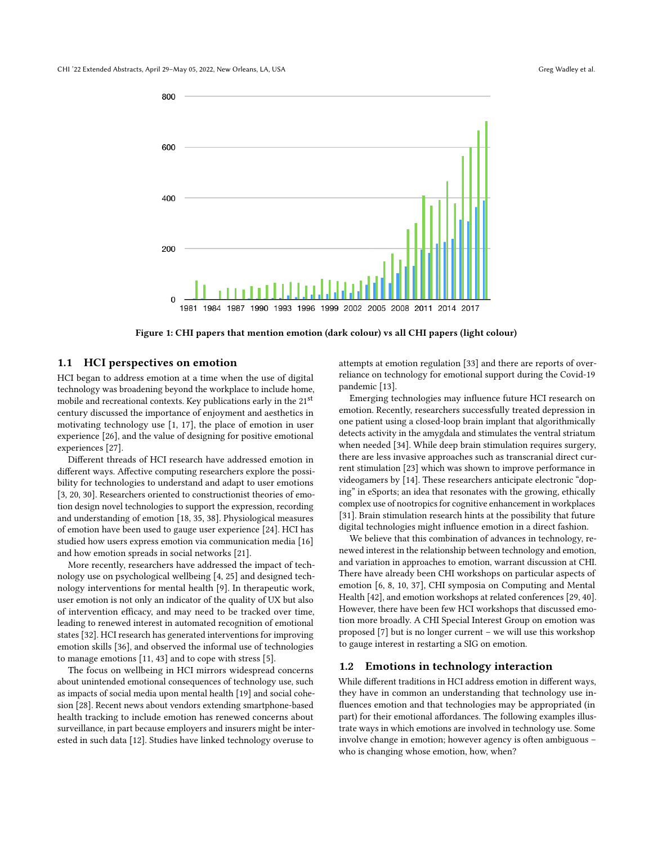<span id="page-1-0"></span>

Figure 1: CHI papers that mention emotion (dark colour) vs all CHI papers (light colour)

#### 1.1 HCI perspectives on emotion

HCI began to address emotion at a time when the use of digital technology was broadening beyond the workplace to include home, mobile and recreational contexts. Key publications early in the 21<sup>st</sup> century discussed the importance of enjoyment and aesthetics in motivating technology use [\[1,](#page-5-2) [17\]](#page-5-3), the place of emotion in user experience [\[26\]](#page-5-4), and the value of designing for positive emotional experiences [\[27\]](#page-5-5).

Diferent threads of HCI research have addressed emotion in diferent ways. Afective computing researchers explore the possibility for technologies to understand and adapt to user emotions [\[3,](#page-5-6) [20,](#page-5-7) [30\]](#page-5-8). Researchers oriented to constructionist theories of emotion design novel technologies to support the expression, recording and understanding of emotion [\[18,](#page-5-9) [35,](#page-5-10) [38\]](#page-5-11). Physiological measures of emotion have been used to gauge user experience [\[24\]](#page-5-12). HCI has studied how users express emotion via communication media [\[16\]](#page-5-13) and how emotion spreads in social networks [\[21\]](#page-5-14).

More recently, researchers have addressed the impact of technology use on psychological wellbeing [\[4,](#page-5-15) [25\]](#page-5-16) and designed technology interventions for mental health [\[9\]](#page-5-17). In therapeutic work, user emotion is not only an indicator of the quality of UX but also of intervention efficacy, and may need to be tracked over time, leading to renewed interest in automated recognition of emotional states [\[32\]](#page-5-18). HCI research has generated interventions for improving emotion skills [\[36\]](#page-5-19), and observed the informal use of technologies to manage emotions [\[11,](#page-5-20) [43\]](#page-5-21) and to cope with stress [\[5\]](#page-5-22).

The focus on wellbeing in HCI mirrors widespread concerns about unintended emotional consequences of technology use, such as impacts of social media upon mental health [\[19\]](#page-5-23) and social cohesion [\[28\]](#page-5-24). Recent news about vendors extending smartphone-based health tracking to include emotion has renewed concerns about surveillance, in part because employers and insurers might be interested in such data [\[12\]](#page-5-25). Studies have linked technology overuse to

attempts at emotion regulation [\[33\]](#page-5-26) and there are reports of overreliance on technology for emotional support during the Covid-19 pandemic [\[13\]](#page-5-27).

Emerging technologies may infuence future HCI research on emotion. Recently, researchers successfully treated depression in one patient using a closed-loop brain implant that algorithmically detects activity in the amygdala and stimulates the ventral striatum when needed [\[34\]](#page-5-28). While deep brain stimulation requires surgery, there are less invasive approaches such as transcranial direct current stimulation [\[23\]](#page-5-29) which was shown to improve performance in videogamers by [\[14\]](#page-5-30). These researchers anticipate electronic "doping" in eSports; an idea that resonates with the growing, ethically complex use of nootropics for cognitive enhancement in workplaces [\[31\]](#page-5-31). Brain stimulation research hints at the possibility that future digital technologies might infuence emotion in a direct fashion.

We believe that this combination of advances in technology, renewed interest in the relationship between technology and emotion, and variation in approaches to emotion, warrant discussion at CHI. There have already been CHI workshops on particular aspects of emotion [\[6,](#page-5-32) [8,](#page-5-33) [10,](#page-5-34) [37\]](#page-5-35), CHI symposia on Computing and Mental Health [\[42\]](#page-5-36), and emotion workshops at related conferences [\[29,](#page-5-37) [40\]](#page-5-38). However, there have been few HCI workshops that discussed emotion more broadly. A CHI Special Interest Group on emotion was proposed [\[7\]](#page-5-39) but is no longer current – we will use this workshop to gauge interest in restarting a SIG on emotion.

#### 1.2 Emotions in technology interaction

While diferent traditions in HCI address emotion in diferent ways, they have in common an understanding that technology use infuences emotion and that technologies may be appropriated (in part) for their emotional affordances. The following examples illustrate ways in which emotions are involved in technology use. Some involve change in emotion; however agency is often ambiguous – who is changing whose emotion, how, when?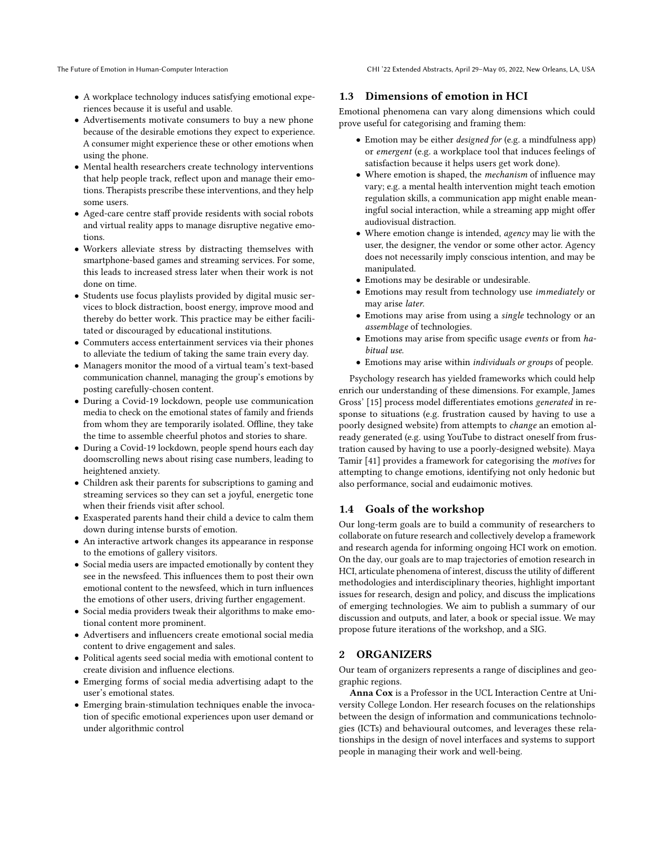The Future of Emotion in Human-Computer Interaction CHI '22 Extended Abstracts, April 29-May 05, 2022, New Orleans, LA, USA

- A workplace technology induces satisfying emotional experiences because it is useful and usable.
- Advertisements motivate consumers to buy a new phone because of the desirable emotions they expect to experience. A consumer might experience these or other emotions when using the phone.
- $\bullet\,$  Mental health researchers create technology interventions that help people track, reflect upon and manage their emotions. Therapists prescribe these interventions, and they help some users.
- Aged-care centre staff provide residents with social robots and virtual reality apps to manage disruptive negative emotions.
- Workers alleviate stress by distracting themselves with smartphone-based games and streaming services. For some, this leads to increased stress later when their work is not done on time.
- Students use focus playlists provided by digital music services to block distraction, boost energy, improve mood and thereby do better work. This practice may be either facilitated or discouraged by educational institutions.
- Commuters access entertainment services via their phones to alleviate the tedium of taking the same train every day.
- Managers monitor the mood of a virtual team's text-based communication channel, managing the group's emotions by posting carefully-chosen content.
- During a Covid-19 lockdown, people use communication media to check on the emotional states of family and friends from whom they are temporarily isolated. Offline, they take the time to assemble cheerful photos and stories to share.
- During a Covid-19 lockdown, people spend hours each day doomscrolling news about rising case numbers, leading to heightened anxiety.
- Children ask their parents for subscriptions to gaming and streaming services so they can set a joyful, energetic tone when their friends visit after school.
- Exasperated parents hand their child a device to calm them down during intense bursts of emotion.
- An interactive artwork changes its appearance in response to the emotions of gallery visitors.
- Social media users are impacted emotionally by content they see in the newsfeed. This infuences them to post their own emotional content to the newsfeed, which in turn infuences the emotions of other users, driving further engagement.
- Social media providers tweak their algorithms to make emotional content more prominent.
- Advertisers and infuencers create emotional social media content to drive engagement and sales.
- Political agents seed social media with emotional content to create division and infuence elections.
- Emerging forms of social media advertising adapt to the user's emotional states.
- Emerging brain-stimulation techniques enable the invocation of specifc emotional experiences upon user demand or under algorithmic control

### 1.3 Dimensions of emotion in HCI

Emotional phenomena can vary along dimensions which could prove useful for categorising and framing them:

- Emotion may be either designed for (e.g. a mindfulness app) or emergent (e.g. a workplace tool that induces feelings of satisfaction because it helps users get work done).
- Where emotion is shaped, the mechanism of infuence may vary; e.g. a mental health intervention might teach emotion regulation skills, a communication app might enable meaningful social interaction, while a streaming app might offer audiovisual distraction.
- Where emotion change is intended, agency may lie with the user, the designer, the vendor or some other actor. Agency does not necessarily imply conscious intention, and may be manipulated.
- Emotions may be desirable or undesirable.
- Emotions may result from technology use immediately or may arise later.
- Emotions may arise from using a single technology or an assemblage of technologies.
- Emotions may arise from specific usage events or from habitual use.
- Emotions may arise within individuals or groups of people.

Psychology research has yielded frameworks which could help enrich our understanding of these dimensions. For example, James Gross' [\[15\]](#page-5-40) process model diferentiates emotions generated in response to situations (e.g. frustration caused by having to use a poorly designed website) from attempts to change an emotion already generated (e.g. using YouTube to distract oneself from frustration caused by having to use a poorly-designed website). Maya Tamir [\[41\]](#page-5-41) provides a framework for categorising the motives for attempting to change emotions, identifying not only hedonic but also performance, social and eudaimonic motives.

## 1.4 Goals of the workshop

Our long-term goals are to build a community of researchers to collaborate on future research and collectively develop a framework and research agenda for informing ongoing HCI work on emotion. On the day, our goals are to map trajectories of emotion research in HCI, articulate phenomena of interest, discuss the utility of different methodologies and interdisciplinary theories, highlight important issues for research, design and policy, and discuss the implications of emerging technologies. We aim to publish a summary of our discussion and outputs, and later, a book or special issue. We may propose future iterations of the workshop, and a SIG.

#### 2 ORGANIZERS

Our team of organizers represents a range of disciplines and geographic regions.

Anna Cox is a Professor in the UCL Interaction Centre at University College London. Her research focuses on the relationships between the design of information and communications technologies (ICTs) and behavioural outcomes, and leverages these relationships in the design of novel interfaces and systems to support people in managing their work and well-being.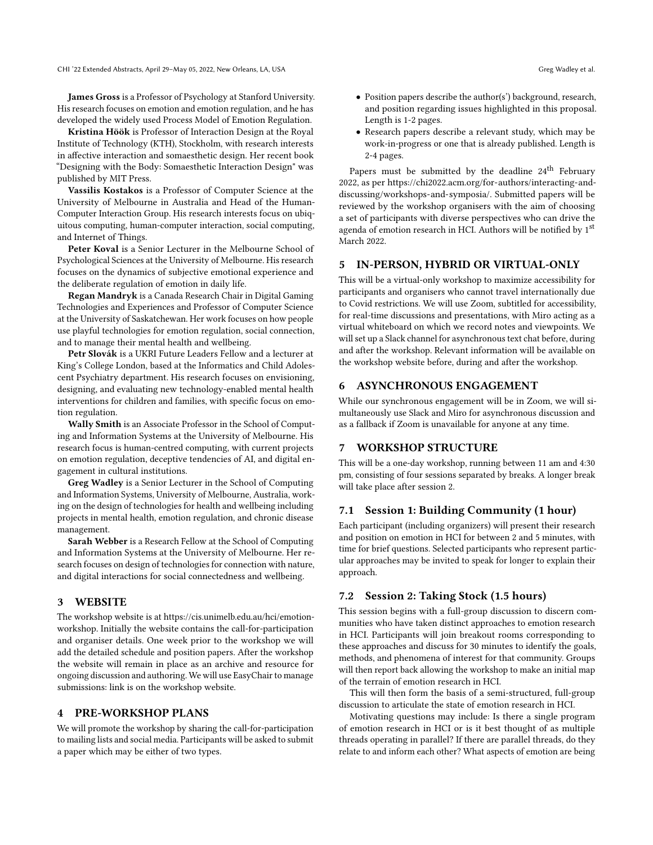CHI '22 Extended Abstracts, April 29-May 05, 2022, New Orleans, LA, USA Greg Wadley et al.

James Gross is a Professor of Psychology at Stanford University. His research focuses on emotion and emotion regulation, and he has developed the widely used Process Model of Emotion Regulation.

Kristina Höök is Professor of Interaction Design at the Royal Institute of Technology (KTH), Stockholm, with research interests in afective interaction and somaesthetic design. Her recent book "Designing with the Body: Somaesthetic Interaction Design" was published by MIT Press.

Vassilis Kostakos is a Professor of Computer Science at the University of Melbourne in Australia and Head of the Human-Computer Interaction Group. His research interests focus on ubiquitous computing, human-computer interaction, social computing, and Internet of Things.

Peter Koval is a Senior Lecturer in the Melbourne School of Psychological Sciences at the University of Melbourne. His research focuses on the dynamics of subjective emotional experience and the deliberate regulation of emotion in daily life.

Regan Mandryk is a Canada Research Chair in Digital Gaming Technologies and Experiences and Professor of Computer Science at the University of Saskatchewan. Her work focuses on how people use playful technologies for emotion regulation, social connection, and to manage their mental health and wellbeing.

Petr Slovák is a UKRI Future Leaders Fellow and a lecturer at King's College London, based at the Informatics and Child Adolescent Psychiatry department. His research focuses on envisioning, designing, and evaluating new technology-enabled mental health interventions for children and families, with specifc focus on emotion regulation.

Wally Smith is an Associate Professor in the School of Computing and Information Systems at the University of Melbourne. His research focus is human-centred computing, with current projects on emotion regulation, deceptive tendencies of AI, and digital engagement in cultural institutions.

Greg Wadley is a Senior Lecturer in the School of Computing and Information Systems, University of Melbourne, Australia, working on the design of technologies for health and wellbeing including projects in mental health, emotion regulation, and chronic disease management.

Sarah Webber is a Research Fellow at the School of Computing and Information Systems at the University of Melbourne. Her research focuses on design of technologies for connection with nature, and digital interactions for social connectedness and wellbeing.

#### 3 WEBSITE

The workshop website is at [https://cis.unimelb.edu.au/hci/emotion](https://cis.unimelb.edu.au/hci/emotion-workshop)[workshop.](https://cis.unimelb.edu.au/hci/emotion-workshop) Initially the website contains the call-for-participation and organiser details. One week prior to the workshop we will add the detailed schedule and position papers. After the workshop the website will remain in place as an archive and resource for ongoing discussion and authoring. We will use EasyChair to manage submissions: link is on the workshop website.

#### 4 PRE-WORKSHOP PLANS

We will promote the workshop by sharing the call-for-participation to mailing lists and social media. Participants will be asked to submit a paper which may be either of two types.

- Position papers describe the author(s') background, research, and position regarding issues highlighted in this proposal. Length is 1-2 pages.
- Research papers describe a relevant study, which may be work-in-progress or one that is already published. Length is 2-4 pages.

Papers must be submitted by the deadline 24<sup>th</sup> February 2022, as per [https://chi2022.acm.org/for-authors/interacting-and](https://chi2022.acm.org/for-authors/interacting-and-discussing/workshops-and-symposia/)[discussing/workshops-and-symposia/.](https://chi2022.acm.org/for-authors/interacting-and-discussing/workshops-and-symposia/) Submitted papers will be reviewed by the workshop organisers with the aim of choosing a set of participants with diverse perspectives who can drive the agenda of emotion research in HCI. Authors will be notified by 1st March 2022.

#### 5 IN-PERSON, HYBRID OR VIRTUAL-ONLY

This will be a virtual-only workshop to maximize accessibility for participants and organisers who cannot travel internationally due to Covid restrictions. We will use Zoom, subtitled for accessibility, for real-time discussions and presentations, with Miro acting as a virtual whiteboard on which we record notes and viewpoints. We will set up a Slack channel for asynchronous text chat before, during and after the workshop. Relevant information will be available on the workshop website before, during and after the workshop.

## 6 ASYNCHRONOUS ENGAGEMENT

While our synchronous engagement will be in Zoom, we will simultaneously use Slack and Miro for asynchronous discussion and as a fallback if Zoom is unavailable for anyone at any time.

## 7 WORKSHOP STRUCTURE

This will be a one-day workshop, running between 11 am and 4:30 pm, consisting of four sessions separated by breaks. A longer break will take place after session 2.

## 7.1 Session 1: Building Community (1 hour)

Each participant (including organizers) will present their research and position on emotion in HCI for between 2 and 5 minutes, with time for brief questions. Selected participants who represent particular approaches may be invited to speak for longer to explain their approach.

### 7.2 Session 2: Taking Stock (1.5 hours)

This session begins with a full-group discussion to discern communities who have taken distinct approaches to emotion research in HCI. Participants will join breakout rooms corresponding to these approaches and discuss for 30 minutes to identify the goals, methods, and phenomena of interest for that community. Groups will then report back allowing the workshop to make an initial map of the terrain of emotion research in HCI.

This will then form the basis of a semi-structured, full-group discussion to articulate the state of emotion research in HCI.

Motivating questions may include: Is there a single program of emotion research in HCI or is it best thought of as multiple threads operating in parallel? If there are parallel threads, do they relate to and inform each other? What aspects of emotion are being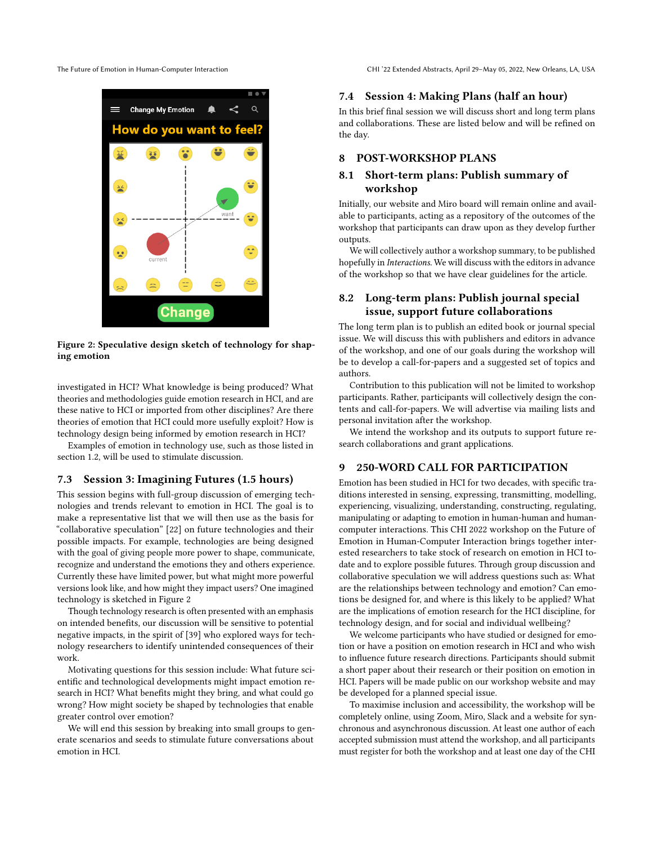<span id="page-4-0"></span>

= **Change My Emotion** How do **vou want to** Change

Figure 2: Speculative design sketch of technology for shaping emotion

investigated in HCI? What knowledge is being produced? What theories and methodologies guide emotion research in HCI, and are these native to HCI or imported from other disciplines? Are there theories of emotion that HCI could more usefully exploit? How is technology design being informed by emotion research in HCI?

Examples of emotion in technology use, such as those listed in section 1.2, will be used to stimulate discussion.

#### 7.3 Session 3: Imagining Futures (1.5 hours)

This session begins with full-group discussion of emerging technologies and trends relevant to emotion in HCI. The goal is to make a representative list that we will then use as the basis for "collaborative speculation" [\[22\]](#page-5-42) on future technologies and their possible impacts. For example, technologies are being designed with the goal of giving people more power to shape, communicate, recognize and understand the emotions they and others experience. Currently these have limited power, but what might more powerful versions look like, and how might they impact users? One imagined technology is sketched in Figure [2](#page-4-0)

Though technology research is often presented with an emphasis on intended benefts, our discussion will be sensitive to potential negative impacts, in the spirit of [\[39\]](#page-5-43) who explored ways for technology researchers to identify unintended consequences of their work.

Motivating questions for this session include: What future scientifc and technological developments might impact emotion research in HCI? What benefts might they bring, and what could go wrong? How might society be shaped by technologies that enable greater control over emotion?

We will end this session by breaking into small groups to generate scenarios and seeds to stimulate future conversations about emotion in HCI.

The Future of Emotion in Human-Computer Interaction CHI '22 Extended Abstracts, April 29-May 05, 2022, New Orleans, LA, USA

#### 7.4 Session 4: Making Plans (half an hour)

In this brief fnal session we will discuss short and long term plans and collaborations. These are listed below and will be refned on the day.

## 8 POST-WORKSHOP PLANS

## 8.1 Short-term plans: Publish summary of workshop

Initially, our website and Miro board will remain online and available to participants, acting as a repository of the outcomes of the workshop that participants can draw upon as they develop further outputs.

We will collectively author a workshop summary, to be published hopefully in *Interactions*. We will discuss with the editors in advance of the workshop so that we have clear guidelines for the article.

## 8.2 Long-term plans: Publish journal special issue, support future collaborations

The long term plan is to publish an edited book or journal special issue. We will discuss this with publishers and editors in advance of the workshop, and one of our goals during the workshop will be to develop a call-for-papers and a suggested set of topics and authors.

Contribution to this publication will not be limited to workshop participants. Rather, participants will collectively design the contents and call-for-papers. We will advertise via mailing lists and personal invitation after the workshop.

We intend the workshop and its outputs to support future research collaborations and grant applications.

## 9 250-WORD CALL FOR PARTICIPATION

Emotion has been studied in HCI for two decades, with specifc traditions interested in sensing, expressing, transmitting, modelling, experiencing, visualizing, understanding, constructing, regulating, manipulating or adapting to emotion in human-human and humancomputer interactions. This CHI 2022 workshop on the Future of Emotion in Human-Computer Interaction brings together interested researchers to take stock of research on emotion in HCI todate and to explore possible futures. Through group discussion and collaborative speculation we will address questions such as: What are the relationships between technology and emotion? Can emotions be designed for, and where is this likely to be applied? What are the implications of emotion research for the HCI discipline, for technology design, and for social and individual wellbeing?

We welcome participants who have studied or designed for emotion or have a position on emotion research in HCI and who wish to infuence future research directions. Participants should submit a short paper about their research or their position on emotion in HCI. Papers will be made public on our workshop website and may be developed for a planned special issue.

To maximise inclusion and accessibility, the workshop will be completely online, using Zoom, Miro, Slack and a website for synchronous and asynchronous discussion. At least one author of each accepted submission must attend the workshop, and all participants must register for both the workshop and at least one day of the CHI